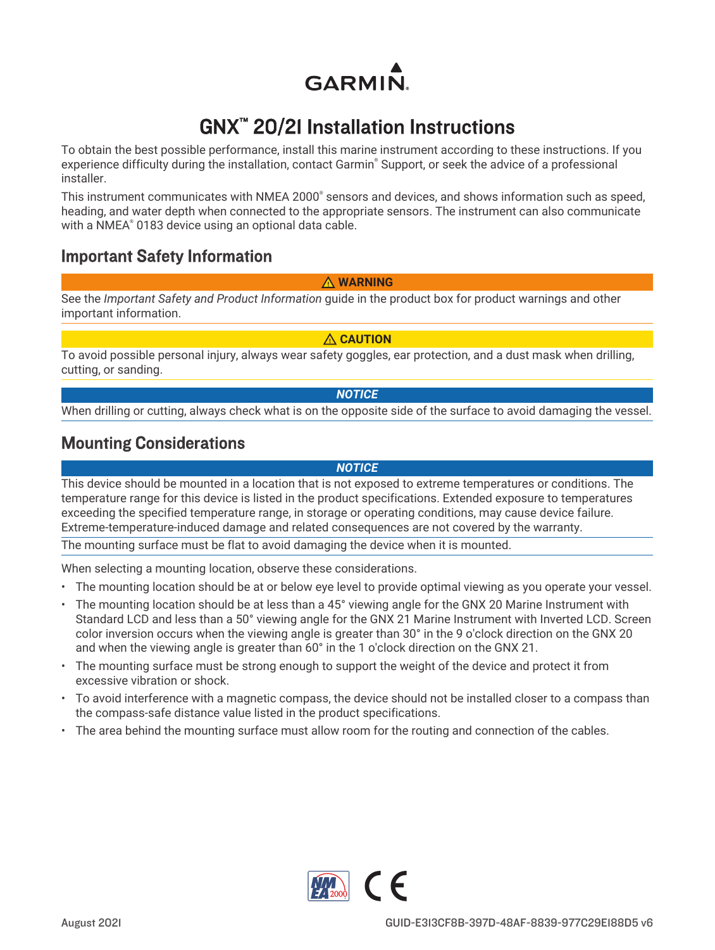**GARMIN** 

# GNX™ 20/21 Installation Instructions

To obtain the best possible performance, install this marine instrument according to these instructions. If you experience difficulty during the installation, contact Garmin® Support, or seek the advice of a professional installer.

This instrument communicates with NMEA 2000<sup>®</sup> sensors and devices, and shows information such as speed, heading, and water depth when connected to the appropriate sensors. The instrument can also communicate with a NMEA® 0183 device using an optional data cable.

## Important Safety Information

#### **WARNING**

See the *Important Safety and Product Information* guide in the product box for product warnings and other important information.

 **CAUTION**

To avoid possible personal injury, always wear safety goggles, ear protection, and a dust mask when drilling, cutting, or sanding.

#### *NOTICE*

When drilling or cutting, always check what is on the opposite side of the surface to avoid damaging the vessel.

## Mounting Considerations

*NOTICE*

This device should be mounted in a location that is not exposed to extreme temperatures or conditions. The temperature range for this device is listed in the product specifications. Extended exposure to temperatures exceeding the specified temperature range, in storage or operating conditions, may cause device failure. Extreme-temperature-induced damage and related consequences are not covered by the warranty.

The mounting surface must be flat to avoid damaging the device when it is mounted.

When selecting a mounting location, observe these considerations.

- The mounting location should be at or below eye level to provide optimal viewing as you operate your vessel.
- The mounting location should be at less than a 45° viewing angle for the GNX 20 Marine Instrument with Standard LCD and less than a 50° viewing angle for the GNX 21 Marine Instrument with Inverted LCD. Screen color inversion occurs when the viewing angle is greater than 30° in the 9 o'clock direction on the GNX 20 and when the viewing angle is greater than 60° in the 1 o'clock direction on the GNX 21.
- The mounting surface must be strong enough to support the weight of the device and protect it from excessive vibration or shock.
- To avoid interference with a magnetic compass, the device should not be installed closer to a compass than the compass-safe distance value listed in the product specifications.
- The area behind the mounting surface must allow room for the routing and connection of the cables.

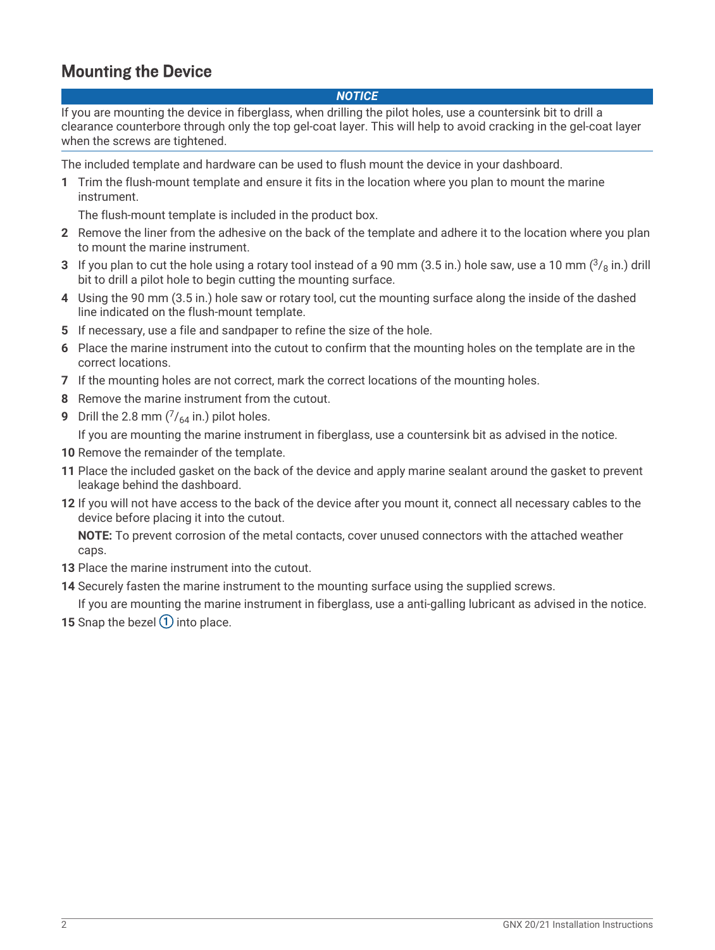# Mounting the Device

#### *NOTICE*

If you are mounting the device in fiberglass, when drilling the pilot holes, use a countersink bit to drill a clearance counterbore through only the top gel-coat layer. This will help to avoid cracking in the gel-coat layer when the screws are tightened.

The included template and hardware can be used to flush mount the device in your dashboard.

**1** Trim the flush-mount template and ensure it fits in the location where you plan to mount the marine instrument.

The flush-mount template is included in the product box.

- **2** Remove the liner from the adhesive on the back of the template and adhere it to the location where you plan to mount the marine instrument.
- **3** If you plan to cut the hole using a rotary tool instead of a 90 mm (3.5 in.) hole saw, use a 10 mm ( $\frac{3}{8}$  in.) drill bit to drill a pilot hole to begin cutting the mounting surface.
- **4** Using the 90 mm (3.5 in.) hole saw or rotary tool, cut the mounting surface along the inside of the dashed line indicated on the flush-mount template.
- **5** If necessary, use a file and sandpaper to refine the size of the hole.
- **6** Place the marine instrument into the cutout to confirm that the mounting holes on the template are in the correct locations.
- **7** If the mounting holes are not correct, mark the correct locations of the mounting holes.
- **8** Remove the marine instrument from the cutout.
- **9** Drill the 2.8 mm  $\binom{7}{64}$  in.) pilot holes.

If you are mounting the marine instrument in fiberglass, use a countersink bit as advised in the notice.

**10** Remove the remainder of the template.

- **11** Place the included gasket on the back of the device and apply marine sealant around the gasket to prevent leakage behind the dashboard.
- **12** If you will not have access to the back of the device after you mount it, connect all necessary cables to the device before placing it into the cutout.

**NOTE:** To prevent corrosion of the metal contacts, cover unused connectors with the attached weather caps.

- **13** Place the marine instrument into the cutout.
- **14** Securely fasten the marine instrument to the mounting surface using the supplied screws.

If you are mounting the marine instrument in fiberglass, use a anti-galling lubricant as advised in the notice.

**15** Snap the bezel  $\left(\overline{1}\right)$  into place.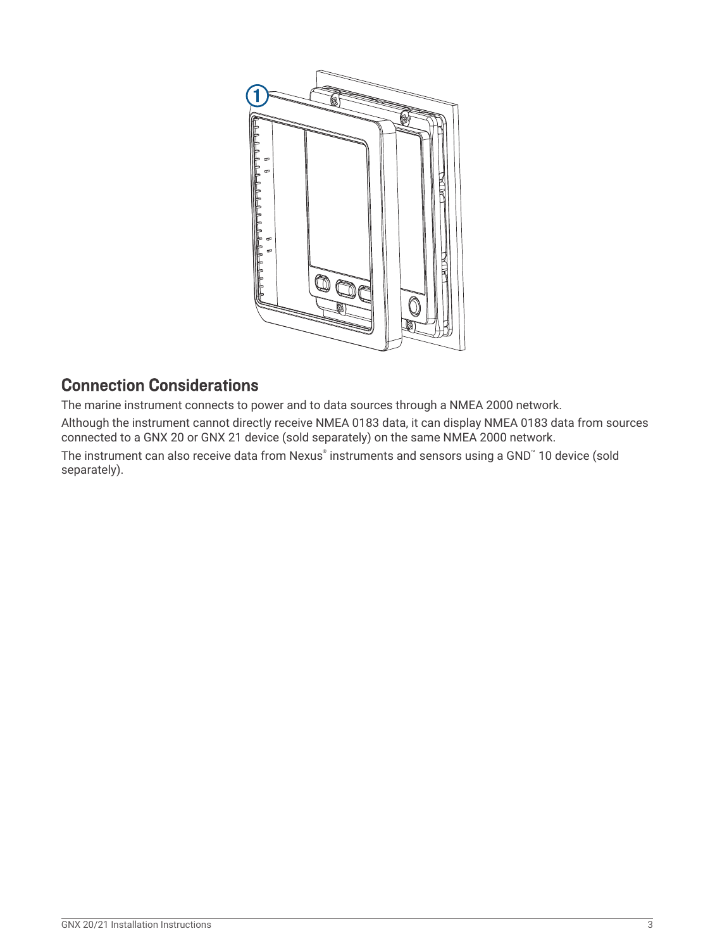

# Connection Considerations

The marine instrument connects to power and to data sources through a NMEA 2000 network.

Although the instrument cannot directly receive NMEA 0183 data, it can display NMEA 0183 data from sources connected to a GNX 20 or GNX 21 device (sold separately) on the same NMEA 2000 network.

The instrument can also receive data from Nexus® instruments and sensors using a GND™ 10 device (sold separately).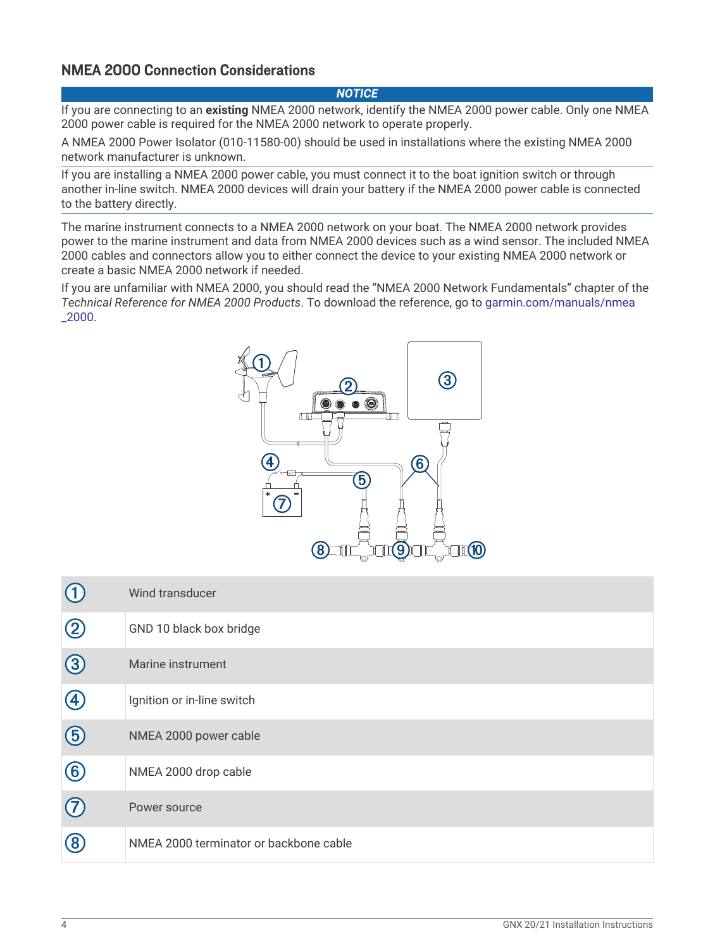### NMEA 2000 Connection Considerations

#### *NOTICE*

If you are connecting to an **existing** NMEA 2000 network, identify the NMEA 2000 power cable. Only one NMEA 2000 power cable is required for the NMEA 2000 network to operate properly.

A NMEA 2000 Power Isolator (010-11580-00) should be used in installations where the existing NMEA 2000 network manufacturer is unknown.

If you are installing a NMEA 2000 power cable, you must connect it to the boat ignition switch or through another in-line switch. NMEA 2000 devices will drain your battery if the NMEA 2000 power cable is connected to the battery directly.

The marine instrument connects to a NMEA 2000 network on your boat. The NMEA 2000 network provides power to the marine instrument and data from NMEA 2000 devices such as a wind sensor. The included NMEA 2000 cables and connectors allow you to either connect the device to your existing NMEA 2000 network or create a basic NMEA 2000 network if needed.

If you are unfamiliar with NMEA 2000, you should read the "NMEA 2000 Network Fundamentals" chapter of the *Technical Reference for NMEA 2000 Products*. To download the reference, go to [garmin.com/manuals/nmea](htttp://www.garmin.com/manuals/nmea_2000) [\\_2000.](htttp://www.garmin.com/manuals/nmea_2000)



| (1)         | Wind transducer                        |
|-------------|----------------------------------------|
| $\circledS$ | GND 10 black box bridge                |
| $\bigcirc$  | Marine instrument                      |
| 4           | Ignition or in-line switch             |
| $\bigcirc$  | NMEA 2000 power cable                  |
| $\circled6$ | NMEA 2000 drop cable                   |
| $\bigcirc$  | Power source                           |
| $\circledR$ | NMEA 2000 terminator or backbone cable |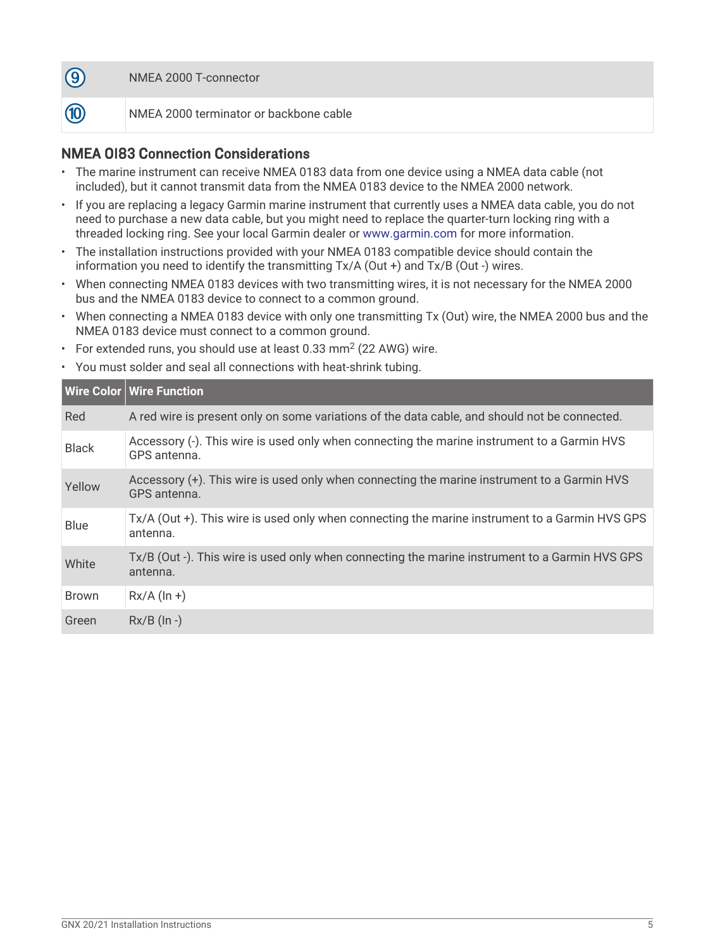

**10** 

NMEA 2000 terminator or backbone cable

### NMEA 0183 Connection Considerations

- The marine instrument can receive NMEA 0183 data from one device using a NMEA data cable (not included), but it cannot transmit data from the NMEA 0183 device to the NMEA 2000 network.
- If you are replacing a legacy Garmin marine instrument that currently uses a NMEA data cable, you do not need to purchase a new data cable, but you might need to replace the quarter-turn locking ring with a threaded locking ring. See your local Garmin dealer or [www.garmin.com](http://www.garmin.com) for more information.
- The installation instructions provided with your NMEA 0183 compatible device should contain the information you need to identify the transmitting Tx/A (Out +) and Tx/B (Out -) wires.
- When connecting NMEA 0183 devices with two transmitting wires, it is not necessary for the NMEA 2000 bus and the NMEA 0183 device to connect to a common ground.
- When connecting a NMEA 0183 device with only one transmitting Tx (Out) wire, the NMEA 2000 bus and the NMEA 0183 device must connect to a common ground.
- For extended runs, you should use at least 0.33 mm<sup>2</sup> (22 AWG) wire.
- You must solder and seal all connections with heat-shrink tubing.

|              | Wire Color   Wire Function                                                                                  |
|--------------|-------------------------------------------------------------------------------------------------------------|
| Red          | A red wire is present only on some variations of the data cable, and should not be connected.               |
| <b>Black</b> | Accessory (-). This wire is used only when connecting the marine instrument to a Garmin HVS<br>GPS antenna. |
| Yellow       | Accessory (+). This wire is used only when connecting the marine instrument to a Garmin HVS<br>GPS antenna. |
| <b>Blue</b>  | Tx/A (Out +). This wire is used only when connecting the marine instrument to a Garmin HVS GPS<br>antenna.  |
| White        | Tx/B (Out -). This wire is used only when connecting the marine instrument to a Garmin HVS GPS<br>antenna.  |
| <b>Brown</b> | $Rx/A$ (ln +)                                                                                               |
| Green        | $Rx/B$ ( $\ln -$ )                                                                                          |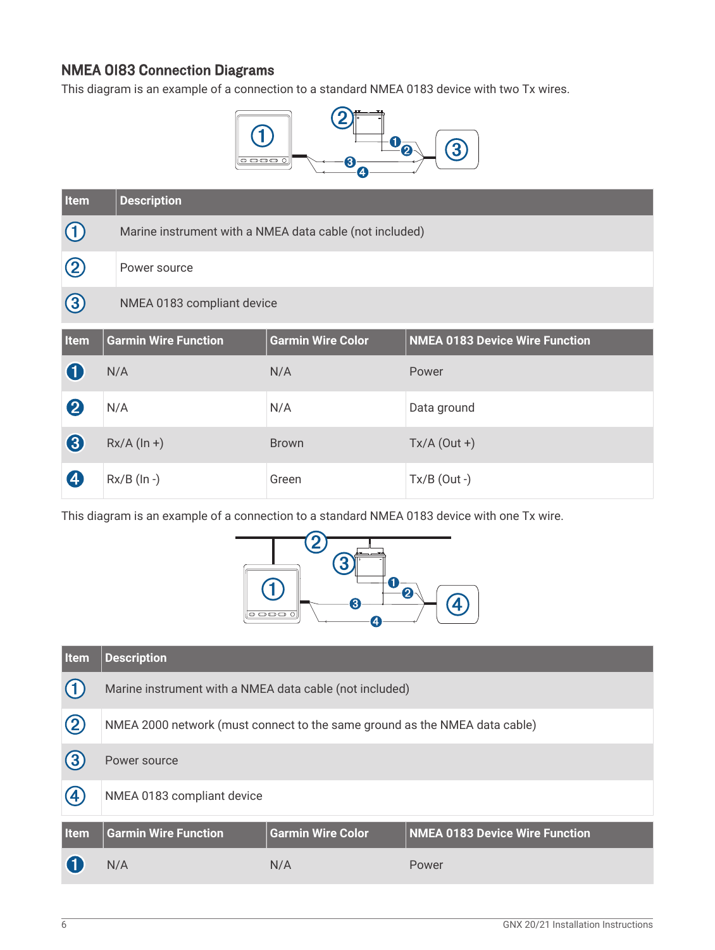### NMEA 0183 Connection Diagrams

This diagram is an example of a connection to a standard NMEA 0183 device with two Tx wires.



| <b>Item</b>      | <b>Description</b>          |                                                         |                                       |  |
|------------------|-----------------------------|---------------------------------------------------------|---------------------------------------|--|
| $\circled{1}$    |                             | Marine instrument with a NMEA data cable (not included) |                                       |  |
| $\circled{2}$    | Power source                |                                                         |                                       |  |
| $\bigcirc$       | NMEA 0183 compliant device  |                                                         |                                       |  |
| <b>Item</b>      | <b>Garmin Wire Function</b> | <b>Garmin Wire Color</b>                                | <b>NMEA 0183 Device Wire Function</b> |  |
| 0                | N/A                         | N/A                                                     | Power                                 |  |
| $\boldsymbol{2}$ | N/A                         | N/A                                                     | Data ground                           |  |
| 8                | $Rx/A (ln +)$               | <b>Brown</b>                                            | $Tx/A$ (Out +)                        |  |
| 4                | $Rx/B$ (In -)               | Green                                                   | $Tx/B$ (Out -)                        |  |

This diagram is an example of a connection to a standard NMEA 0183 device with one Tx wire.



| <u>Item</u>        | <b>Description</b>                                                         |                          |                                       |
|--------------------|----------------------------------------------------------------------------|--------------------------|---------------------------------------|
|                    | Marine instrument with a NMEA data cable (not included)                    |                          |                                       |
| $\circled{2}$      | NMEA 2000 network (must connect to the same ground as the NMEA data cable) |                          |                                       |
| (3)                | Power source                                                               |                          |                                       |
| $\boldsymbol{(4)}$ | NMEA 0183 compliant device                                                 |                          |                                       |
| <b>Item</b>        | <b>Garmin Wire Function</b>                                                | <b>Garmin Wire Color</b> | <b>NMEA 0183 Device Wire Function</b> |
|                    | N/A                                                                        | N/A                      | Power                                 |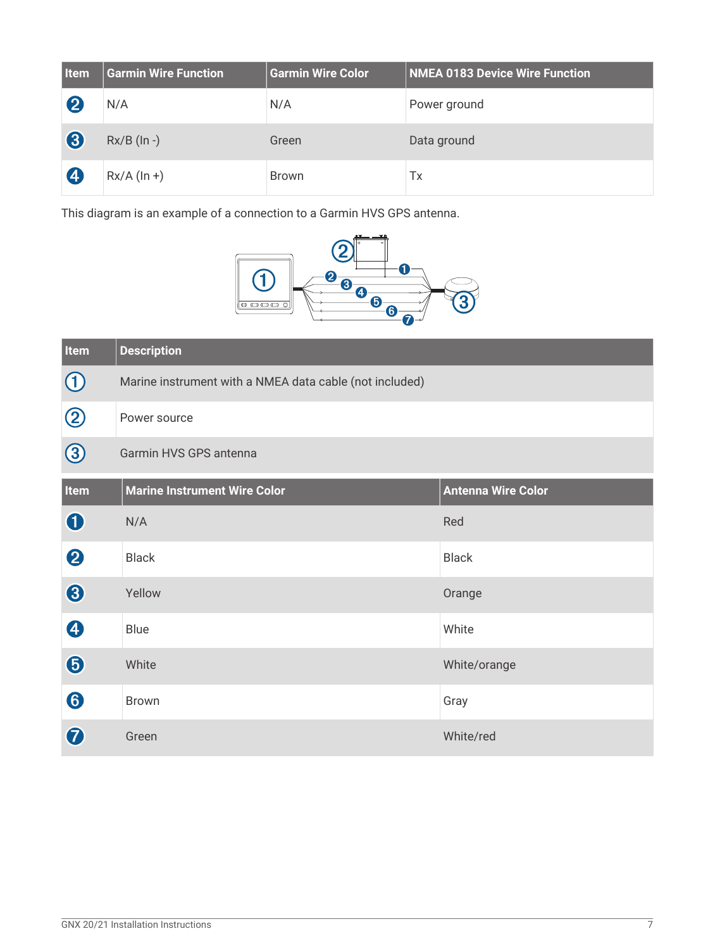| <b>Item</b>      | <b>Garmin Wire Function</b> | <b>Garmin Wire Color</b> | <b>NMEA 0183 Device Wire Function</b> |
|------------------|-----------------------------|--------------------------|---------------------------------------|
| $\boldsymbol{Q}$ | N/A                         | N/A                      | Power ground                          |
| 3                | $Rx/B$ (In -)               | Green                    | Data ground                           |
| $\overline{A}$   | $Rx/A (ln +)$               | <b>Brown</b>             | Тx                                    |

This diagram is an example of a connection to a Garmin HVS GPS antenna.



| Item                  | <b>Description</b>                                      |                           |
|-----------------------|---------------------------------------------------------|---------------------------|
| $\bigcirc$            | Marine instrument with a NMEA data cable (not included) |                           |
| $\circledS$           | Power source                                            |                           |
| $\bigcirc$            | Garmin HVS GPS antenna                                  |                           |
| Item                  | <b>Marine Instrument Wire Color</b>                     | <b>Antenna Wire Color</b> |
| $\bf 0$               | N/A                                                     | Red                       |
| $\boldsymbol{Q}$      | <b>Black</b>                                            | <b>Black</b>              |
| 8                     | Yellow                                                  | Orange                    |
| $\boldsymbol{\Theta}$ | Blue                                                    | White                     |
| $\bigcirc$            | White                                                   | White/orange              |
| 6                     | <b>Brown</b>                                            | Gray                      |
| 7                     | Green                                                   | White/red                 |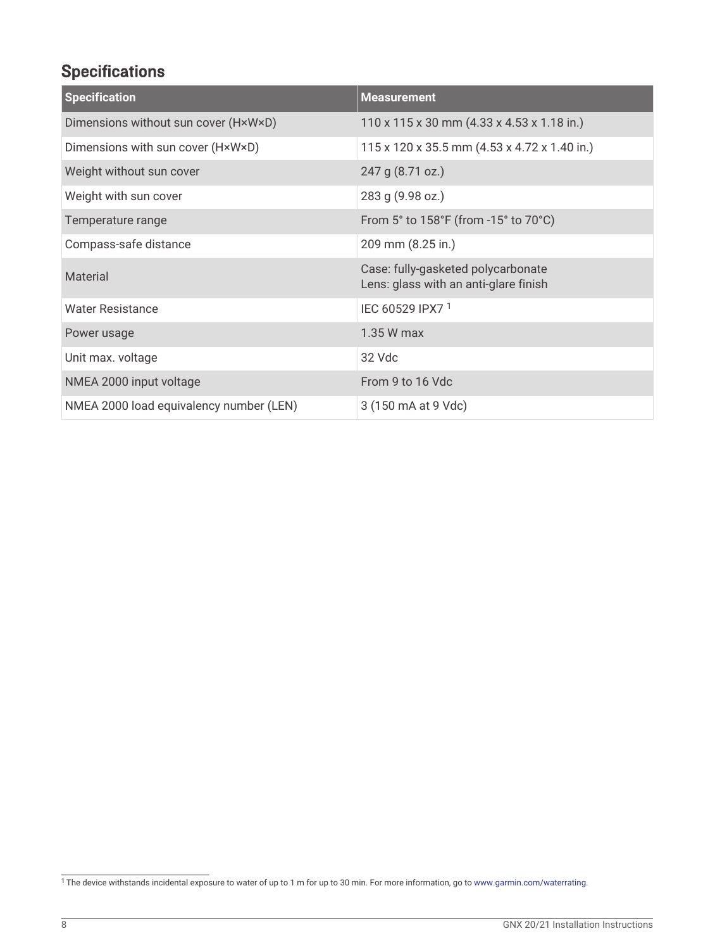# **Specifications**

| <b>Specification</b>                    | <b>Measurement</b>                                                          |
|-----------------------------------------|-----------------------------------------------------------------------------|
| Dimensions without sun cover (HxWxD)    | $110 \times 115 \times 30$ mm (4.33 x 4.53 x 1.18 in.)                      |
| Dimensions with sun cover (HxWxD)       | 115 x 120 x 35.5 mm (4.53 x 4.72 x 1.40 in.)                                |
| Weight without sun cover                | 247 g (8.71 oz.)                                                            |
| Weight with sun cover                   | 283 g (9.98 oz.)                                                            |
| Temperature range                       | From 5° to 158°F (from -15° to 70°C)                                        |
| Compass-safe distance                   | 209 mm (8.25 in.)                                                           |
| Material                                | Case: fully-gasketed polycarbonate<br>Lens: glass with an anti-glare finish |
| <b>Water Resistance</b>                 | IEC 60529 IPX7 <sup>1</sup>                                                 |
| Power usage                             | 1.35 W max                                                                  |
| Unit max. voltage                       | 32 Vdc                                                                      |
| NMEA 2000 input voltage                 | From 9 to 16 Vdc                                                            |
| NMEA 2000 load equivalency number (LEN) | 3 (150 mA at 9 Vdc)                                                         |

<sup>&</sup>lt;sup>1</sup>The device withstands incidental exposure to water of up to 1 m for up to 30 min. For more information, go to [www.garmin.com/waterrating](http://www.garmin.com/waterrating).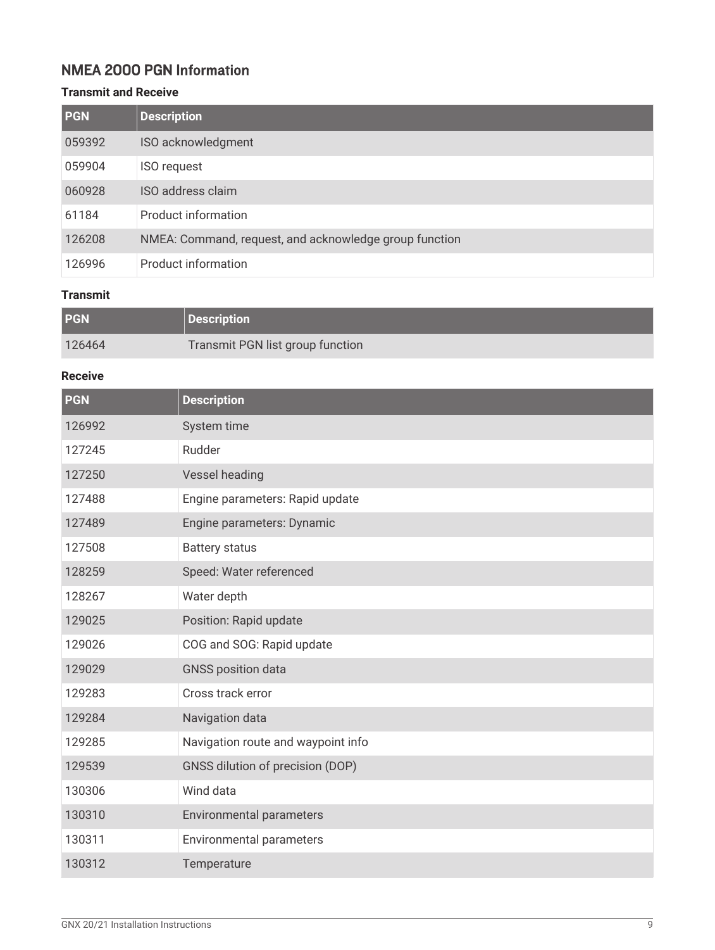### NMEA 2000 PGN Information

#### **Transmit and Receive**

| <b>PGN</b> | <b>Description</b>                                     |
|------------|--------------------------------------------------------|
| 059392     | ISO acknowledgment                                     |
| 059904     | <b>ISO request</b>                                     |
| 060928     | ISO address claim                                      |
| 61184      | <b>Product information</b>                             |
| 126208     | NMEA: Command, request, and acknowledge group function |
| 126996     | <b>Product information</b>                             |

#### **Transmit**

| PGN    | Description                      |
|--------|----------------------------------|
| 126464 | Transmit PGN list group function |

#### **Receive**

| <b>PGN</b> | <b>Description</b>                 |
|------------|------------------------------------|
| 126992     | System time                        |
| 127245     | Rudder                             |
| 127250     | Vessel heading                     |
| 127488     | Engine parameters: Rapid update    |
| 127489     | Engine parameters: Dynamic         |
| 127508     | <b>Battery status</b>              |
| 128259     | Speed: Water referenced            |
| 128267     | Water depth                        |
| 129025     | Position: Rapid update             |
| 129026     | COG and SOG: Rapid update          |
| 129029     | <b>GNSS position data</b>          |
| 129283     | Cross track error                  |
| 129284     | Navigation data                    |
| 129285     | Navigation route and waypoint info |
| 129539     | GNSS dilution of precision (DOP)   |
| 130306     | Wind data                          |
| 130310     | Environmental parameters           |
| 130311     | Environmental parameters           |
| 130312     | Temperature                        |